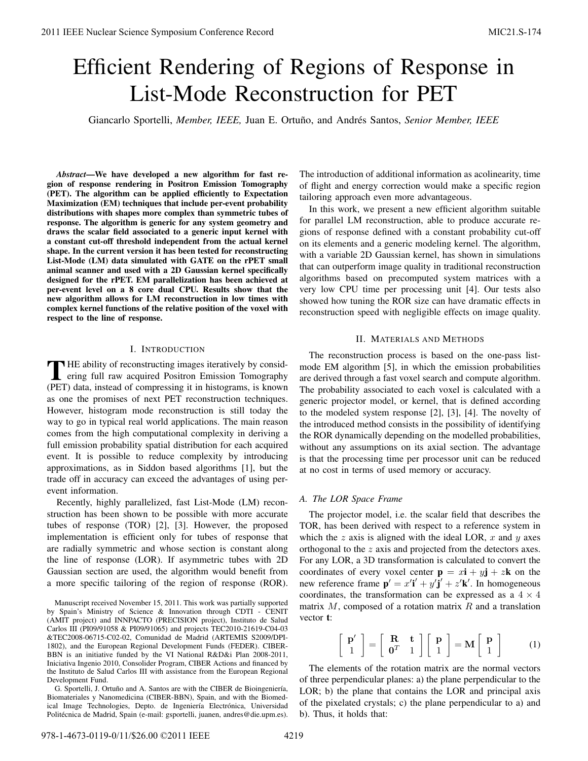# Efficient Rendering of Regions of Response in List-Mode Reconstruction for PET

Giancarlo Sportelli, *Member, IEEE*, Juan E. Ortuño, and Andrés Santos, Senior Member, IEEE

*Abstract*—We have developed a new algorithm for fast region of response rendering in Positron Emission Tomography (PET). The algorithm can be applied efficiently to Expectation Maximization (EM) techniques that include per-event probability distributions with shapes more complex than symmetric tubes of response. The algorithm is generic for any system geometry and draws the scalar field associated to a generic input kernel with a constant cut-off threshold independent from the actual kernel shape. In the current version it has been tested for reconstructing List-Mode (LM) data simulated with GATE on the rPET small animal scanner and used with a 2D Gaussian kernel specifically designed for the rPET. EM parallelization has been achieved at per-event level on a 8 core dual CPU. Results show that the new algorithm allows for LM reconstruction in low times with complex kernel functions of the relative position of the voxel with respect to the line of response.

#### I. INTRODUCTION

THE ability of reconstructing images iteratively by considering full raw acquired Positron Emission Tomography  $\blacksquare$  HE ability of reconstructing images iteratively by consid-(PET) data, instead of compressing it in histograms, is known as one the promises of next PET reconstruction techniques. However, histogram mode reconstruction is still today the way to go in typical real world applications. The main reason comes from the high computational complexity in deriving a full emission probability spatial distribution for each acquired event. It is possible to reduce complexity by introducing approximations, as in Siddon based algorithms [1], but the trade off in accuracy can exceed the advantages of using perevent information.

Recently, highly parallelized, fast List-Mode (LM) reconstruction has been shown to be possible with more accurate tubes of response (TOR) [2], [3]. However, the proposed implementation is efficient only for tubes of response that are radially symmetric and whose section is constant along the line of response (LOR). If asymmetric tubes with 2D Gaussian section are used, the algorithm would benefit from a more specific tailoring of the region of response (ROR).

Manuscript received November 15, 2011. This work was partially supported by Spain's Ministry of Science & Innovation through CDTI - CENIT (AMIT project) and INNPACTO (PRECISION project), Instituto de Salud Carlos III (PI09/91058 & PI09/91065) and projects TEC2010-21619-C04-03 &TEC2008-06715-C02-02, Comunidad de Madrid (ARTEMIS S2009/DPI-1802), and the European Regional Development Funds (FEDER). CIBER-BBN is an initiative funded by the VI National R&D&i Plan 2008-2011, Iniciativa Ingenio 2010, Consolider Program, CIBER Actions and financed by the Instituto de Salud Carlos III with assistance from the European Regional Development Fund.

G. Sportelli, J. Ortuño and A. Santos are with the CIBER de Bioingeniería, Biomateriales y Nanomedicina (CIBER-BBN), Spain, and with the Biomedical Image Technologies, Depto. de Ingeniería Electrónica, Universidad Politécnica de Madrid, Spain (e-mail: gsportelli, juanen, andres@die.upm.es). The introduction of additional information as acolinearity, time of flight and energy correction would make a specific region tailoring approach even more advantageous.

In this work, we present a new efficient algorithm suitable for parallel LM reconstruction, able to produce accurate regions of response defined with a constant probability cut-off on its elements and a generic modeling kernel. The algorithm, with a variable 2D Gaussian kernel, has shown in simulations that can outperform image quality in traditional reconstruction algorithms based on precomputed system matrices with a very low CPU time per processing unit [4]. Our tests also showed how tuning the ROR size can have dramatic effects in reconstruction speed with negligible effects on image quality.

## II. MATERIALS AND METHODS

The reconstruction process is based on the one-pass listmode EM algorithm [5], in which the emission probabilities are derived through a fast voxel search and compute algorithm. The probability associated to each voxel is calculated with a generic projector model, or kernel, that is defined according to the modeled system response [2], [3], [4]. The novelty of the introduced method consists in the possibility of identifying the ROR dynamically depending on the modelled probabilities, without any assumptions on its axial section. The advantage is that the processing time per processor unit can be reduced at no cost in terms of used memory or accuracy.

## *A. The LOR Space Frame*

The projector model, i.e. the scalar field that describes the TOR, has been derived with respect to a reference system in which the z axis is aligned with the ideal LOR,  $x$  and  $y$  axes orthogonal to the z axis and projected from the detectors axes. For any LOR, a 3D transformation is calculated to convert the coordinates of every voxel center  $\mathbf{p} = x\mathbf{i} + y\mathbf{j} + z\mathbf{k}$  on the new reference frame  $\mathbf{p}' = x'\mathbf{i}' + y'\mathbf{j}' + z'\mathbf{k}'$ . In homogeneous coordinates, the transformation can be expressed as a  $4 \times 4$ matrix  $M$ , composed of a rotation matrix  $R$  and a translation vector t:

$$
\left[\begin{array}{c}\mathbf{p}'\\1\end{array}\right]=\left[\begin{array}{cc}\mathbf{R}&\mathbf{t}\\ \mathbf{0}^T&1\end{array}\right]\left[\begin{array}{c}\mathbf{p}\\1\end{array}\right]=\mathbf{M}\left[\begin{array}{c}\mathbf{p}\\1\end{array}\right]\tag{1}
$$

The elements of the rotation matrix are the normal vectors of three perpendicular planes: a) the plane perpendicular to the LOR; b) the plane that contains the LOR and principal axis of the pixelated crystals; c) the plane perpendicular to a) and b). Thus, it holds that: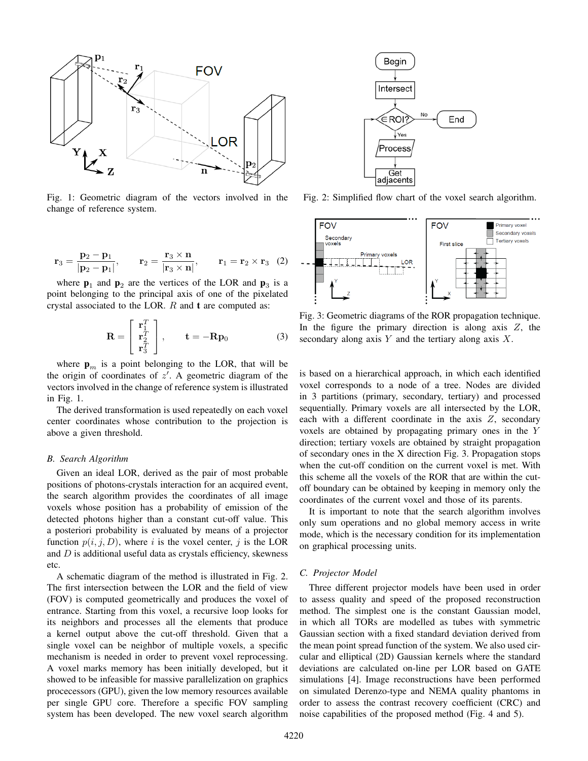

Fig. 1: Geometric diagram of the vectors involved in the change of reference system.

$$
\mathbf{r}_3 = \frac{\mathbf{p}_2 - \mathbf{p}_1}{|\mathbf{p}_2 - \mathbf{p}_1|}, \qquad \mathbf{r}_2 = \frac{\mathbf{r}_3 \times \mathbf{n}}{|\mathbf{r}_3 \times \mathbf{n}|}, \qquad \mathbf{r}_1 = \mathbf{r}_2 \times \mathbf{r}_3 \tag{2}
$$

where  $\mathbf{p}_1$  and  $\mathbf{p}_2$  are the vertices of the LOR and  $\mathbf{p}_3$  is a point belonging to the principal axis of one of the pixelated crystal associated to the LOR.  $R$  and  $t$  are computed as:

$$
\mathbf{R} = \begin{bmatrix} \mathbf{r}_1^T \\ \mathbf{r}_2^T \\ \mathbf{r}_3^T \end{bmatrix}, \qquad \mathbf{t} = -\mathbf{R}\mathbf{p}_0 \tag{3}
$$

where  $\mathbf{p}_m$  is a point belonging to the LOR, that will be the origin of coordinates of  $z'$ . A geometric diagram of the vectors involved in the change of reference system is illustrated in Fig. 1.

The derived transformation is used repeatedly on each voxel center coordinates whose contribution to the projection is above a given threshold.

## *B. Search Algorithm*

Given an ideal LOR, derived as the pair of most probable positions of photons-crystals interaction for an acquired event, the search algorithm provides the coordinates of all image voxels whose position has a probability of emission of the detected photons higher than a constant cut-off value. This a posteriori probability is evaluated by means of a projector function  $p(i, j, D)$ , where i is the voxel center, j is the LOR and  $D$  is additional useful data as crystals efficiency, skewness etc.

A schematic diagram of the method is illustrated in Fig. 2. The first intersection between the LOR and the field of view (FOV) is computed geometrically and produces the voxel of entrance. Starting from this voxel, a recursive loop looks for its neighbors and processes all the elements that produce a kernel output above the cut-off threshold. Given that a single voxel can be neighbor of multiple voxels, a specific mechanism is needed in order to prevent voxel reprocessing. A voxel marks memory has been initially developed, but it showed to be infeasible for massive parallelization on graphics procecessors (GPU), given the low memory resources available per single GPU core. Therefore a specific FOV sampling system has been developed. The new voxel search algorithm



Fig. 2: Simplified flow chart of the voxel search algorithm.



Fig. 3: Geometric diagrams of the ROR propagation technique. In the figure the primary direction is along axis  $Z$ , the secondary along axis  $Y$  and the tertiary along axis  $X$ .

is based on a hierarchical approach, in which each identified voxel corresponds to a node of a tree. Nodes are divided in 3 partitions (primary, secondary, tertiary) and processed sequentially. Primary voxels are all intersected by the LOR, each with a different coordinate in the axis  $Z$ , secondary voxels are obtained by propagating primary ones in the Y direction; tertiary voxels are obtained by straight propagation of secondary ones in the X direction Fig. 3. Propagation stops when the cut-off condition on the current voxel is met. With this scheme all the voxels of the ROR that are within the cutoff boundary can be obtained by keeping in memory only the coordinates of the current voxel and those of its parents.

It is important to note that the search algorithm involves only sum operations and no global memory access in write mode, which is the necessary condition for its implementation on graphical processing units.

#### *C. Projector Model*

Three different projector models have been used in order to assess quality and speed of the proposed reconstruction method. The simplest one is the constant Gaussian model, in which all TORs are modelled as tubes with symmetric Gaussian section with a fixed standard deviation derived from the mean point spread function of the system. We also used circular and elliptical (2D) Gaussian kernels where the standard deviations are calculated on-line per LOR based on GATE simulations [4]. Image reconstructions have been performed on simulated Derenzo-type and NEMA quality phantoms in order to assess the contrast recovery coefficient (CRC) and noise capabilities of the proposed method (Fig. 4 and 5).